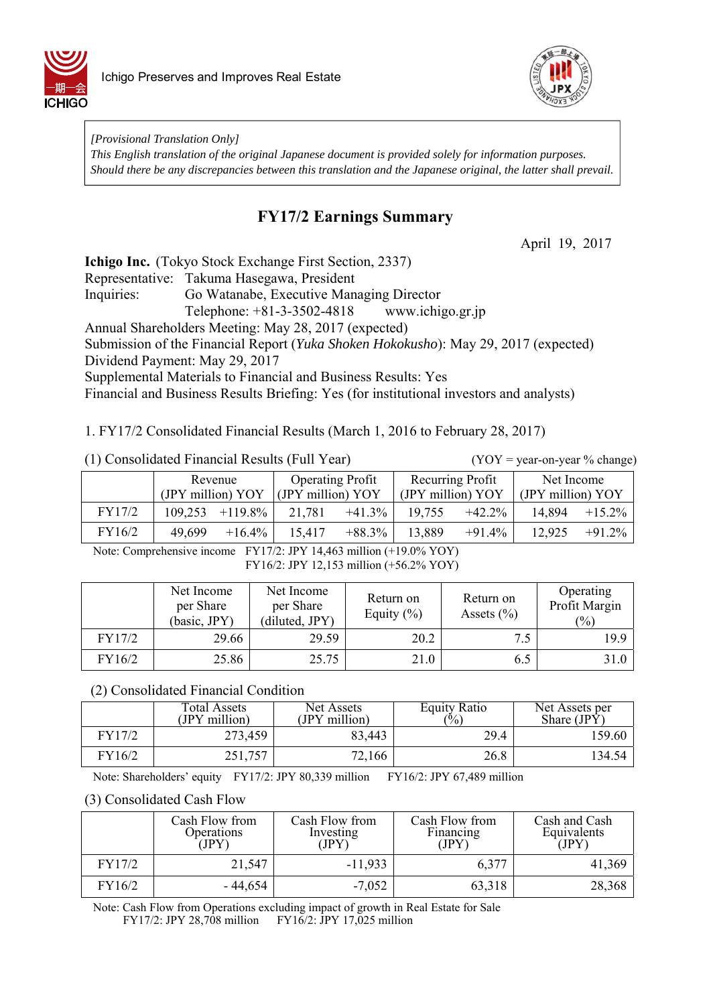



*[Provisional Translation Only] This English translation of the original Japanese document is provided solely for information purposes. Should there be any discrepancies between this translation and the Japanese original, the latter shall prevail.*

# **FY17/2 Earnings Summary**

April 19, 2017

**Ichigo Inc.** (Tokyo Stock Exchange First Section, 2337)

Representative: Takuma Hasegawa, President

Inquiries: Go Watanabe, Executive Managing Director

Telephone: +81-3-3502-4818 www.ichigo.gr.jp

Annual Shareholders Meeting: May 28, 2017 (expected)

Submission of the Financial Report (*Yuka Shoken Hokokusho*): May 29, 2017 (expected)

Dividend Payment: May 29, 2017

Supplemental Materials to Financial and Business Results: Yes

Financial and Business Results Briefing: Yes (for institutional investors and analysts)

1. FY17/2 Consolidated Financial Results (March 1, 2016 to February 28, 2017)

|  | (1) Consolidated Financial Results (Full Year) |  |  |
|--|------------------------------------------------|--|--|
|--|------------------------------------------------|--|--|

 $(YOY = year-on-year % change)$ 

|        | Revenue           | <b>Operating Profit</b> |                   | Net Income        |  |
|--------|-------------------|-------------------------|-------------------|-------------------|--|
|        | (JPY million) YOY | (JPY million) YOY       | (JPY million) YOY | (JPY million) YOY |  |
| FY17/2 | $+119.8\%$        | 21,781                  | 19,755            | 14,894            |  |
|        | 109,253           | $+41.3\%$               | $+42.2\%$         | $+15.2\%$         |  |
| FY16/2 | 49,699            | 15,417                  | 13,889            | $+91.2%$          |  |
|        | $+16.4%$          | $+88.3\%$               | $+91.4%$          | 12,925            |  |

Note: Comprehensive income FY17/2: JPY 14,463 million (+19.0% YOY) FY16/2: JPY 12,153 million (+56.2% YOY)

|        | Net Income<br>per Share<br>(basic, JPY) | Net Income<br>per Share<br>(diluted, JPY) | Return on<br>Equity $(\% )$ | Return on<br>Assets $(\% )$ | Operating<br>Profit Margin<br>$(\%)$ |
|--------|-----------------------------------------|-------------------------------------------|-----------------------------|-----------------------------|--------------------------------------|
| FY17/2 | 29.66                                   | 29.59                                     | 20.2                        | 7.5                         | 19.9                                 |
| FY16/2 | 25.86                                   | 25.75                                     | 21.0                        | 6.5                         | 31.0                                 |

(2) Consolidated Financial Condition

|        | Total Assets<br>(JPY million) | Net Assets<br>(JPY million) | <b>Equity Ratio</b><br>$\frac{6}{6}$ | Net Assets per<br>Share $(IP\hat{Y})$ |
|--------|-------------------------------|-----------------------------|--------------------------------------|---------------------------------------|
| FY17/2 | 273,459                       | 83,443                      | 29.4                                 | 159.60                                |
| FY16/2 | 251,757                       | 72,166                      | 26.8                                 | 134.54                                |

Note: Shareholders' equity FY17/2: JPY 80,339 million FY16/2: JPY 67,489 million

### (3) Consolidated Cash Flow

|        | Cash Flow from<br>Operations<br>(JPY) | Cash Flow from<br>Investing<br>JPY | Cash Flow from<br>Financing<br>(JPY) | Cash and Cash<br>Equivalents<br>(JPY) |
|--------|---------------------------------------|------------------------------------|--------------------------------------|---------------------------------------|
| FY17/2 | 21,547                                | $-11,933$                          | 6,377                                | 41,369                                |
| FY16/2 | - 44,654                              | $-7,052$                           | 63,318                               | 28,368                                |

Note: Cash Flow from Operations excluding impact of growth in Real Estate for Sale FY17/2: JPY 28,708 million FY16/2: JPY 17,025 million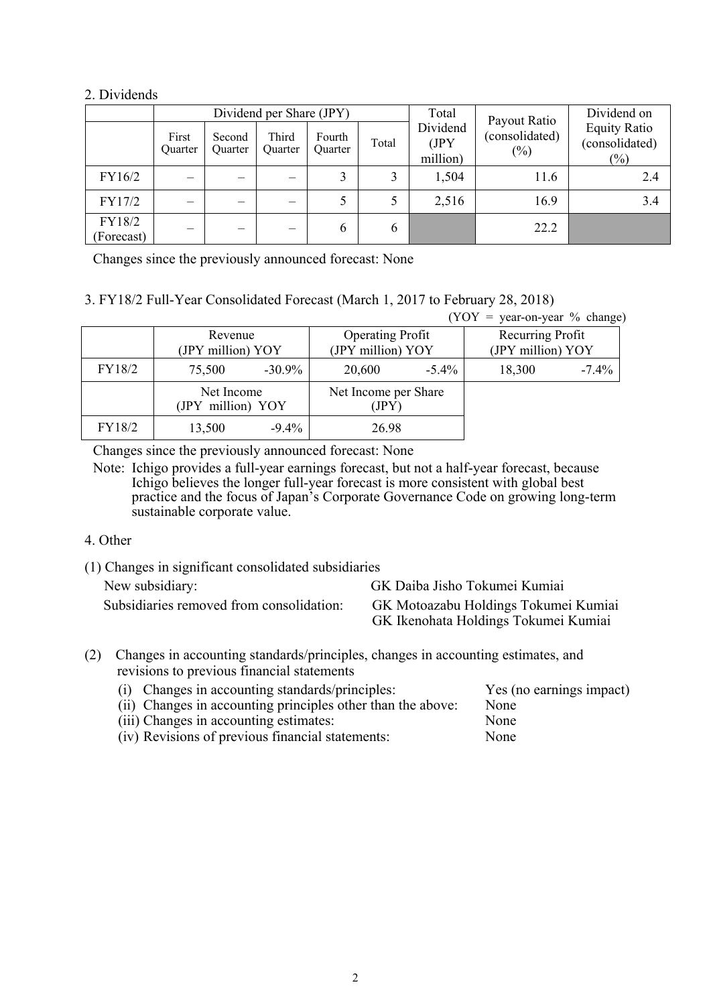### 2. Dividends

|                      | Dividend per Share (JPY) |                   |                          |                          |       | Total                        | Payout Ratio             | Dividend on                                  |
|----------------------|--------------------------|-------------------|--------------------------|--------------------------|-------|------------------------------|--------------------------|----------------------------------------------|
|                      | First<br><b>Ouarter</b>  | Second<br>Quarter | Third<br><b>Ouarter</b>  | Fourth<br><b>Ouarter</b> | Total | Dividend<br>(JPY<br>million) | (consolidated)<br>$(\%)$ | <b>Equity Ratio</b><br>(consolidated)<br>(%) |
| FY16/2               |                          |                   | $\overline{\phantom{0}}$ |                          | 3     | 1,504                        | 11.6                     | 2.4                                          |
| FY17/2               |                          |                   | $\overline{\phantom{0}}$ |                          |       | 2,516                        | 16.9                     | 3.4                                          |
| FY18/2<br>(Forecast) | _                        |                   | $\overline{\phantom{0}}$ | 6                        | 6     |                              | 22.2                     |                                              |

Changes since the previously announced forecast: None

## 3. FY18/2 Full-Year Consolidated Forecast (March 1, 2017 to February 28, 2018)

|        |                                 |           |                               |          | $(YOY = year-on-year \% change)$ |          |
|--------|---------------------------------|-----------|-------------------------------|----------|----------------------------------|----------|
|        | Revenue                         |           | <b>Operating Profit</b>       |          | Recurring Profit                 |          |
|        | (JPY million) YOY               |           | (JPY million) YOY             |          | (JPY million) YOY                |          |
| FY18/2 | 75,500                          | $-30.9\%$ | 20,600                        | $-5.4\%$ | 18,300                           | $-7.4\%$ |
|        | Net Income<br>(JPY million) YOY |           | Net Income per Share<br>(JPY) |          |                                  |          |
| FY18/2 | 13,500                          | $-9.4\%$  | 26.98                         |          |                                  |          |

Changes since the previously announced forecast: None

Note: Ichigo provides a full-year earnings forecast, but not a half-year forecast, because Ichigo believes the longer full-year forecast is more consistent with global best practice and the focus of Japan's Corporate Governance Code on growing long-term sustainable corporate value.

### 4. Other

- (1) Changes in significant consolidated subsidiaries New subsidiary: GK Daiba Jisho Tokumei Kumiai Subsidiaries removed from consolidation: GK Motoazabu Holdings Tokumei Kumiai GK Ikenohata Holdings Tokumei Kumiai
- (2) Changes in accounting standards/principles, changes in accounting estimates, and revisions to previous financial statements

| (i) Changes in accounting standards/principles:             | Yes (no earnings impact) |
|-------------------------------------------------------------|--------------------------|
| (ii) Changes in accounting principles other than the above: | None                     |
| (iii) Changes in accounting estimates:                      | None                     |
| (iv) Revisions of previous financial statements:            | None                     |
|                                                             |                          |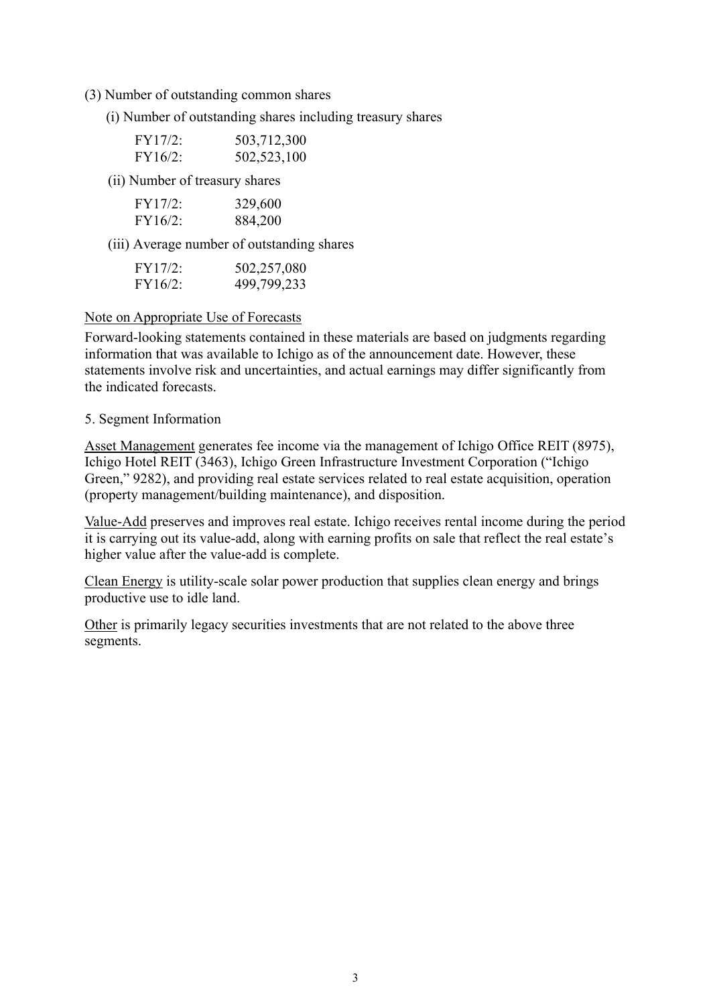- (3) Number of outstanding common shares
	- (i) Number of outstanding shares including treasury shares

| FY17/2: | 503,712,300 |
|---------|-------------|
| FY16/2: | 502,523,100 |

(ii) Number of treasury shares

| FY17/2:    | 329,600 |
|------------|---------|
| $FY16/2$ : | 884,200 |

(iii) Average number of outstanding shares

| FY17/2: | 502,257,080 |
|---------|-------------|
| FY16/2: | 499,799,233 |

#### Note on Appropriate Use of Forecasts

Forward-looking statements contained in these materials are based on judgments regarding information that was available to Ichigo as of the announcement date. However, these statements involve risk and uncertainties, and actual earnings may differ significantly from the indicated forecasts.

#### 5. Segment Information

Asset Management generates fee income via the management of Ichigo Office REIT (8975), Ichigo Hotel REIT (3463), Ichigo Green Infrastructure Investment Corporation ("Ichigo Green," 9282), and providing real estate services related to real estate acquisition, operation (property management/building maintenance), and disposition.

Value-Add preserves and improves real estate. Ichigo receives rental income during the period it is carrying out its value-add, along with earning profits on sale that reflect the real estate's higher value after the value-add is complete.

Clean Energy is utility-scale solar power production that supplies clean energy and brings productive use to idle land.

Other is primarily legacy securities investments that are not related to the above three segments.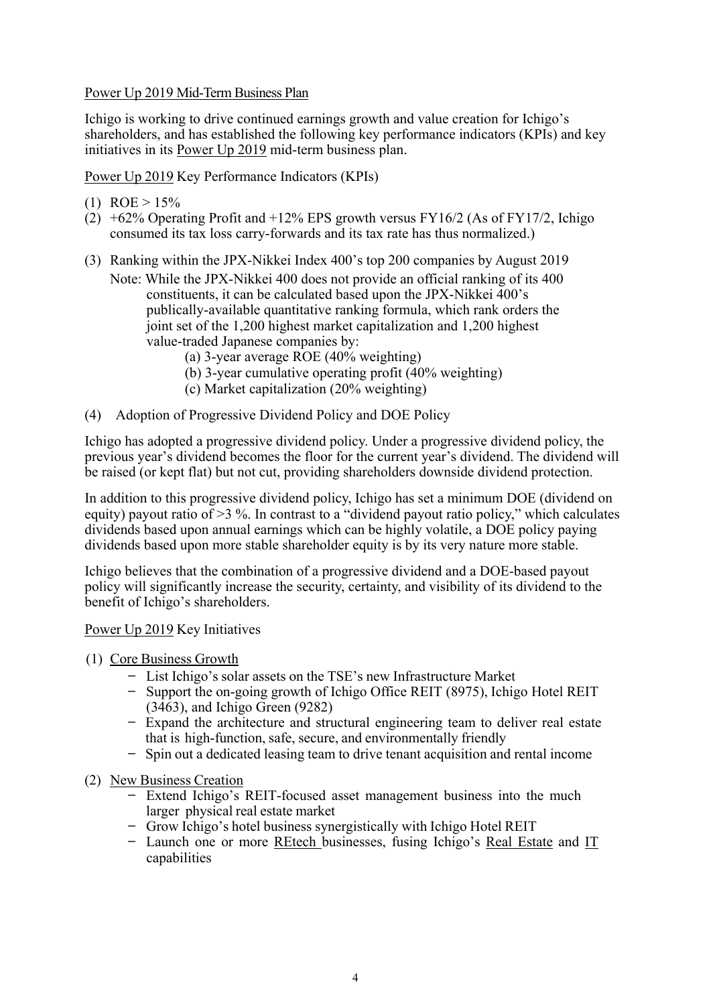### Power Up 2019 Mid-Term Business Plan

Ichigo is working to drive continued earnings growth and value creation for Ichigo's shareholders, and has established the following key performance indicators (KPIs) and key initiatives in its Power Up 2019 mid-term business plan.

Power Up 2019 Key Performance Indicators (KPIs)

- (1)  $ROE > 15%$
- $(2)$  +62% Operating Profit and +12% EPS growth versus FY16/2 (As of FY17/2, Ichigo consumed its tax loss carry-forwards and its tax rate has thus normalized.)
- (3) Ranking within the JPX-Nikkei Index 400's top 200 companies by August 2019 Note: While the JPX-Nikkei 400 does not provide an official ranking of its 400 constituents, it can be calculated based upon the JPX-Nikkei 400's publically-available quantitative ranking formula, which rank orders the joint set of the 1,200 highest market capitalization and 1,200 highest value-traded Japanese companies by:
	- (a) 3-year average ROE (40% weighting)
	- (b) 3-year cumulative operating profit (40% weighting)
	- (c) Market capitalization (20% weighting)
- (4) Adoption of Progressive Dividend Policy and DOE Policy

Ichigo has adopted a progressive dividend policy. Under a progressive dividend policy, the previous year's dividend becomes the floor for the current year's dividend. The dividend will be raised (or kept flat) but not cut, providing shareholders downside dividend protection.

In addition to this progressive dividend policy, Ichigo has set a minimum DOE (dividend on equity) payout ratio of >3 %. In contrast to a "dividend payout ratio policy," which calculates dividends based upon annual earnings which can be highly volatile, a DOE policy paying dividends based upon more stable shareholder equity is by its very nature more stable.

Ichigo believes that the combination of a progressive dividend and a DOE-based payout policy will significantly increase the security, certainty, and visibility of its dividend to the benefit of Ichigo's shareholders.

Power Up 2019 Key Initiatives

- (1) Core Business Growth
	- ̶ List Ichigo's solar assets on the TSE's new Infrastructure Market
	- ̶ Support the on-going growth of Ichigo Office REIT (8975), Ichigo Hotel REIT (3463), and Ichigo Green (9282)
	- ̶ Expand the architecture and structural engineering team to deliver real estate that is high-function, safe, secure, and environmentally friendly
	- ̶ Spin out a dedicated leasing team to drive tenant acquisition and rental income
- (2) New Business Creation
	- Extend Ichigo's REIT-focused asset management business into the much larger physical real estate market
	- ̶ Grow Ichigo's hotel business synergistically with Ichigo Hotel REIT
	- ̶ Launch one or more REtech businesses, fusing Ichigo's Real Estate and IT capabilities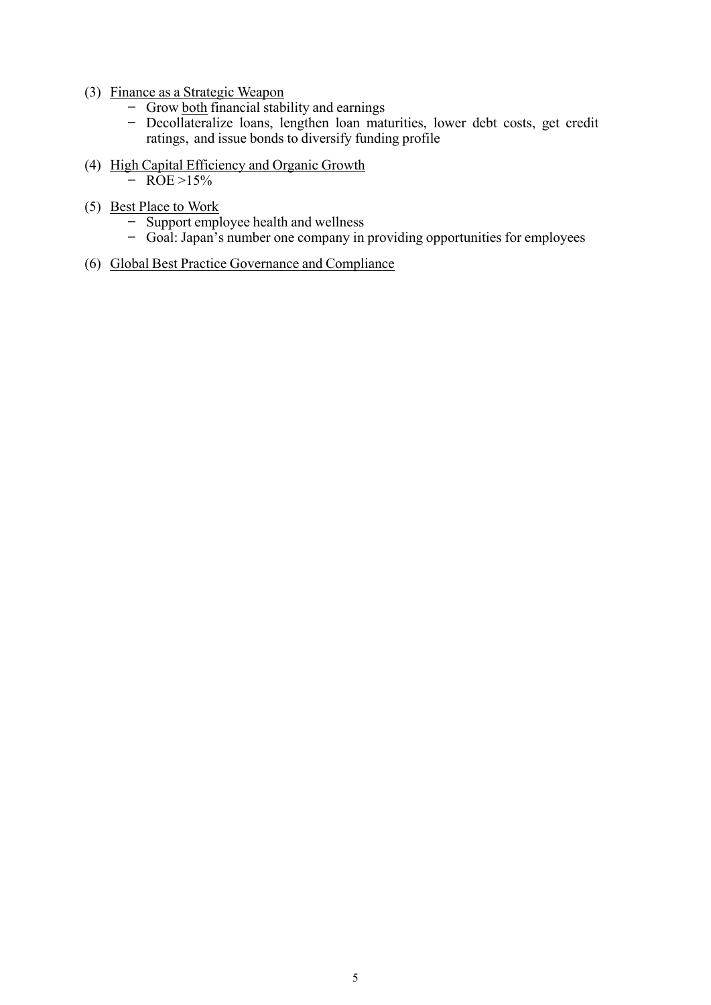- (3) Finance as a Strategic Weapon
	- $\frac{1}{\sqrt{1-\frac{1}{\sqrt{1-\frac{1}{\sqrt{1-\frac{1}{\sqrt{1-\frac{1}{\sqrt{1-\frac{1}{\sqrt{1-\frac{1}{\sqrt{1-\frac{1}{\sqrt{1-\frac{1}{\sqrt{1-\frac{1}{\sqrt{1-\frac{1}{\sqrt{1-\frac{1}{\sqrt{1-\frac{1}{\sqrt{1-\frac{1}{\sqrt{1-\frac{1}{\sqrt{1-\frac{1}{\sqrt{1-\frac{1}{\sqrt{1-\frac{1}{\sqrt{1-\frac{1}{\sqrt{1-\frac{1}{\sqrt{1-\frac{1}{\sqrt{1-\frac{1}{\sqrt{1-\frac{1}{\sqrt{1-\frac{1}{\sqrt{1-\frac{1$
	- Decollateralize loans, lengthen loan maturities, lower debt costs, get credit ratings, and issue bonds to diversify funding profile
- (4) High Capital Efficiency and Organic Growth
	- $-$  ROE >15%
- (5) Best Place to Work
	- Support employee health and wellness
	- ̶ Goal: Japan's number one company in providing opportunities for employees
- (6) Global Best Practice Governance and Compliance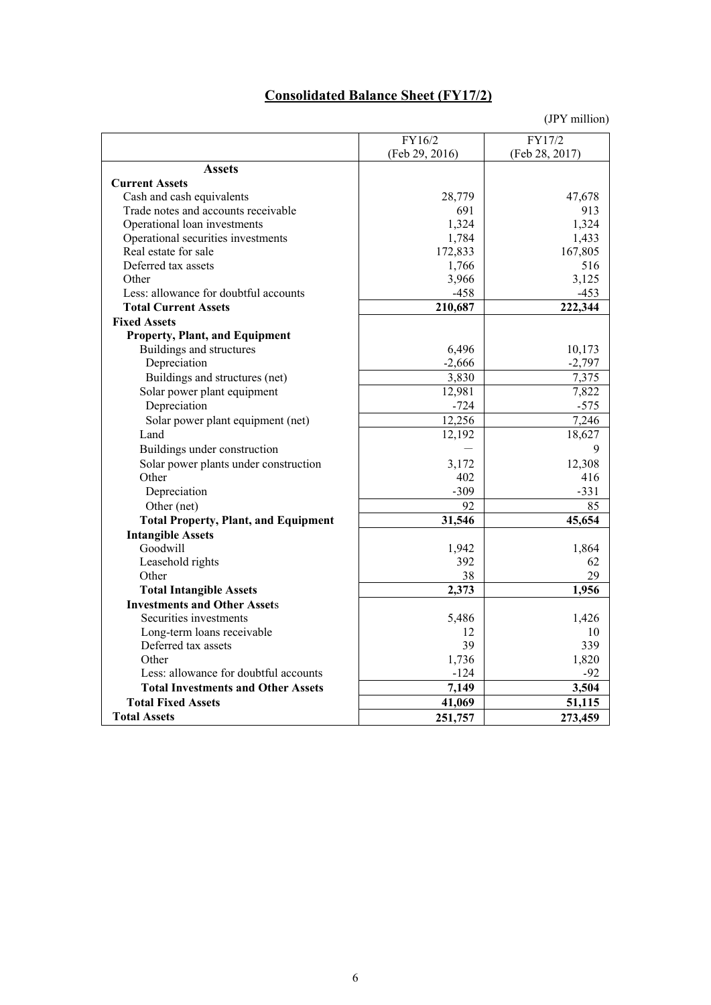# **Consolidated Balance Sheet (FY17/2)**

|                                             | FY16/2         | FY17/2         |
|---------------------------------------------|----------------|----------------|
|                                             | (Feb 29, 2016) | (Feb 28, 2017) |
| <b>Assets</b>                               |                |                |
| <b>Current Assets</b>                       |                |                |
| Cash and cash equivalents                   | 28,779         | 47,678         |
| Trade notes and accounts receivable         | 691            | 913            |
| Operational loan investments                | 1,324          | 1,324          |
| Operational securities investments          | 1,784          | 1,433          |
| Real estate for sale                        | 172,833        | 167,805        |
| Deferred tax assets                         | 1,766          | 516            |
| Other                                       | 3,966          | 3,125          |
| Less: allowance for doubtful accounts       | $-458$         | $-453$         |
| <b>Total Current Assets</b>                 | 210,687        | 222,344        |
| <b>Fixed Assets</b>                         |                |                |
| <b>Property, Plant, and Equipment</b>       |                |                |
| Buildings and structures                    | 6,496          | 10,173         |
| Depreciation                                | $-2,666$       | $-2,797$       |
| Buildings and structures (net)              | 3,830          | 7,375          |
| Solar power plant equipment                 | 12,981         | 7,822          |
| Depreciation                                | $-724$         | $-575$         |
| Solar power plant equipment (net)           | 12,256         | 7,246          |
| Land                                        | 12,192         | 18,627         |
| Buildings under construction                |                | 9              |
| Solar power plants under construction       | 3,172          | 12,308         |
| Other                                       | 402            | 416            |
| Depreciation                                | $-309$         | $-331$         |
| Other (net)                                 | 92             | 85             |
| <b>Total Property, Plant, and Equipment</b> | 31,546         | 45,654         |
| <b>Intangible Assets</b>                    |                |                |
| Goodwill                                    | 1,942          | 1,864          |
| Leasehold rights                            | 392            | 62             |
| Other                                       | 38             | 29             |
| <b>Total Intangible Assets</b>              | 2,373          | 1,956          |
| <b>Investments and Other Assets</b>         |                |                |
| Securities investments                      | 5,486          | 1,426          |
| Long-term loans receivable                  | 12             | 10             |
| Deferred tax assets                         | 39             | 339            |
| Other                                       | 1,736          | 1,820          |
| Less: allowance for doubtful accounts       | $-124$         | $-92$          |
| <b>Total Investments and Other Assets</b>   | 7,149          | 3,504          |
| <b>Total Fixed Assets</b>                   | 41,069         | 51,115         |
| <b>Total Assets</b>                         | 251,757        | 273,459        |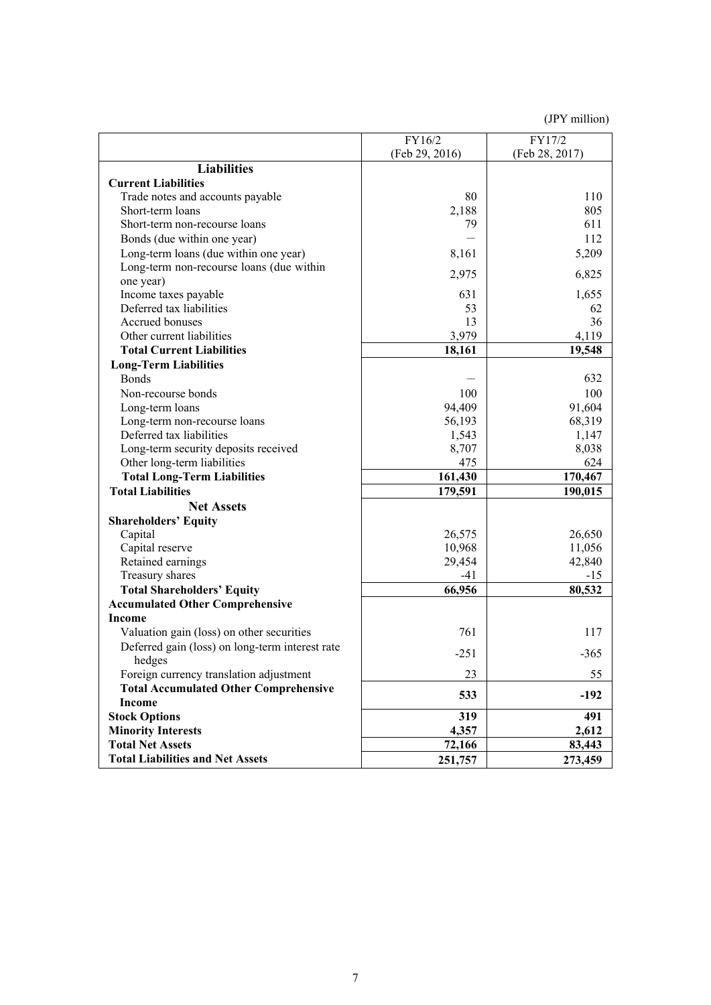|                                                 | FY16/2         | FY17/2         |
|-------------------------------------------------|----------------|----------------|
|                                                 | (Feb 29, 2016) | (Feb 28, 2017) |
| <b>Liabilities</b>                              |                |                |
| <b>Current Liabilities</b>                      |                |                |
| Trade notes and accounts payable                | 80             | 110            |
| Short-term loans                                | 2,188          | 805            |
| Short-term non-recourse loans                   | 79             | 611            |
| Bonds (due within one year)                     |                | 112            |
| Long-term loans (due within one year)           | 8,161          | 5,209          |
| Long-term non-recourse loans (due within        |                |                |
| one year)                                       | 2,975          | 6,825          |
| Income taxes payable                            | 631            | 1,655          |
| Deferred tax liabilities                        | 53             | 62             |
| Accrued bonuses                                 | 13             | 36             |
| Other current liabilities                       | 3,979          | 4,119          |
| <b>Total Current Liabilities</b>                | 18,161         | 19,548         |
| <b>Long-Term Liabilities</b>                    |                |                |
| <b>Bonds</b>                                    |                | 632            |
| Non-recourse bonds                              | 100            | 100            |
| Long-term loans                                 | 94,409         | 91,604         |
| Long-term non-recourse loans                    | 56,193         | 68,319         |
| Deferred tax liabilities                        | 1,543          | 1,147          |
| Long-term security deposits received            | 8,707          | 8,038          |
| Other long-term liabilities                     | 475            | 624            |
| <b>Total Long-Term Liabilities</b>              | 161,430        | 170,467        |
| <b>Total Liabilities</b>                        | 179,591        | 190,015        |
| <b>Net Assets</b>                               |                |                |
| <b>Shareholders' Equity</b>                     |                |                |
| Capital                                         | 26,575         | 26,650         |
| Capital reserve                                 | 10,968         | 11,056         |
| Retained earnings                               | 29,454         | 42,840         |
| Treasury shares                                 | $-41$          | $-15$          |
| <b>Total Shareholders' Equity</b>               | 66,956         | 80,532         |
| <b>Accumulated Other Comprehensive</b>          |                |                |
| <b>Income</b>                                   |                |                |
| Valuation gain (loss) on other securities       | 761            | 117            |
| Deferred gain (loss) on long-term interest rate |                |                |
| hedges                                          | $-251$         | $-365$         |
| Foreign currency translation adjustment         | 23             | 55             |
| <b>Total Accumulated Other Comprehensive</b>    | 533            | $-192$         |
| <b>Income</b>                                   |                |                |
| <b>Stock Options</b>                            | 319            | 491            |
| <b>Minority Interests</b>                       | 4,357          | 2,612          |
| <b>Total Net Assets</b>                         | 72,166         | 83,443         |
| <b>Total Liabilities and Net Assets</b>         | 251,757        | 273,459        |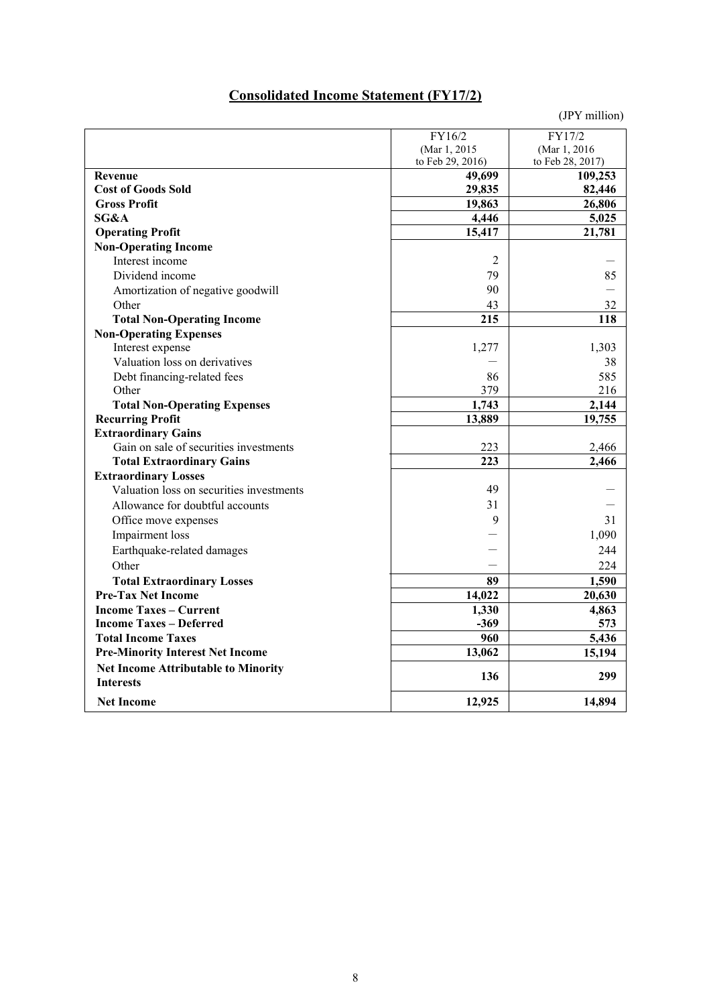# **Consolidated Income Statement (FY17/2)**

|                                                | FY16/2           | FY17/2            |
|------------------------------------------------|------------------|-------------------|
|                                                | (Mar 1, 2015)    | (Mar 1, 2016)     |
|                                                | to Feb 29, 2016) | to Feb 28, 2017)  |
| <b>Revenue</b><br><b>Cost of Goods Sold</b>    | 49,699           | 109,253<br>82,446 |
| <b>Gross Profit</b>                            | 29,835           |                   |
| SG&A                                           | 19,863<br>4,446  | 26,806            |
|                                                | 15,417           | 5,025<br>21,781   |
| <b>Operating Profit</b>                        |                  |                   |
| <b>Non-Operating Income</b><br>Interest income | $\overline{2}$   |                   |
|                                                |                  |                   |
| Dividend income                                | 79               | 85                |
| Amortization of negative goodwill              | 90               |                   |
| Other                                          | 43               | 32                |
| <b>Total Non-Operating Income</b>              | 215              | 118               |
| <b>Non-Operating Expenses</b>                  |                  |                   |
| Interest expense                               | 1,277            | 1,303             |
| Valuation loss on derivatives                  |                  | 38                |
| Debt financing-related fees                    | 86               | 585               |
| Other                                          | 379              | 216               |
| <b>Total Non-Operating Expenses</b>            | 1,743            | 2,144             |
| <b>Recurring Profit</b>                        | 13,889           | 19,755            |
| <b>Extraordinary Gains</b>                     |                  |                   |
| Gain on sale of securities investments         | 223              | 2,466             |
| <b>Total Extraordinary Gains</b>               | 223              | 2,466             |
| <b>Extraordinary Losses</b>                    |                  |                   |
| Valuation loss on securities investments       | 49               |                   |
| Allowance for doubtful accounts                | 31               |                   |
| Office move expenses                           | 9                | 31                |
| Impairment loss                                |                  | 1,090             |
| Earthquake-related damages                     |                  | 244               |
| Other                                          |                  | 224               |
| <b>Total Extraordinary Losses</b>              | 89               | 1,590             |
| <b>Pre-Tax Net Income</b>                      | 14,022           | 20,630            |
| <b>Income Taxes - Current</b>                  | 1,330            | 4,863             |
| <b>Income Taxes – Deferred</b>                 | $-369$           | 573               |
| <b>Total Income Taxes</b>                      | 960              | 5,436             |
| <b>Pre-Minority Interest Net Income</b>        | 13,062           | 15,194            |
| <b>Net Income Attributable to Minority</b>     |                  |                   |
| <b>Interests</b>                               | 136              | 299               |
| <b>Net Income</b>                              | 12,925           | 14,894            |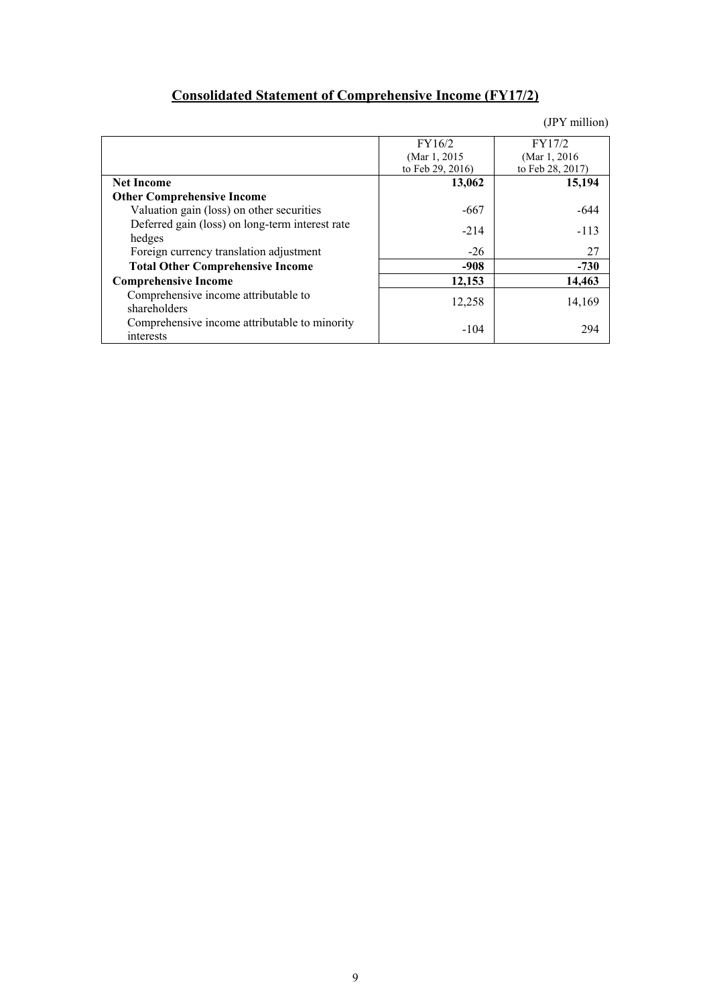# **Consolidated Statement of Comprehensive Income (FY17/2)**

|                                                            | FY16/2           | FY17/2           |
|------------------------------------------------------------|------------------|------------------|
|                                                            | (Mar 1, 2015     | (Mar 1, 2016)    |
|                                                            | to Feb 29, 2016) | to Feb 28, 2017) |
| <b>Net Income</b>                                          | 13,062           | 15,194           |
| <b>Other Comprehensive Income</b>                          |                  |                  |
| Valuation gain (loss) on other securities                  | -667             | $-644$           |
| Deferred gain (loss) on long-term interest rate<br>hedges  | $-214$           | $-113$           |
| Foreign currency translation adjustment                    | $-26$            | 27               |
| <b>Total Other Comprehensive Income</b>                    | $-908$           | $-730$           |
| <b>Comprehensive Income</b>                                | 12,153           | 14,463           |
| Comprehensive income attributable to<br>shareholders       | 12,258           | 14,169           |
| Comprehensive income attributable to minority<br>interests | $-104$           | 294              |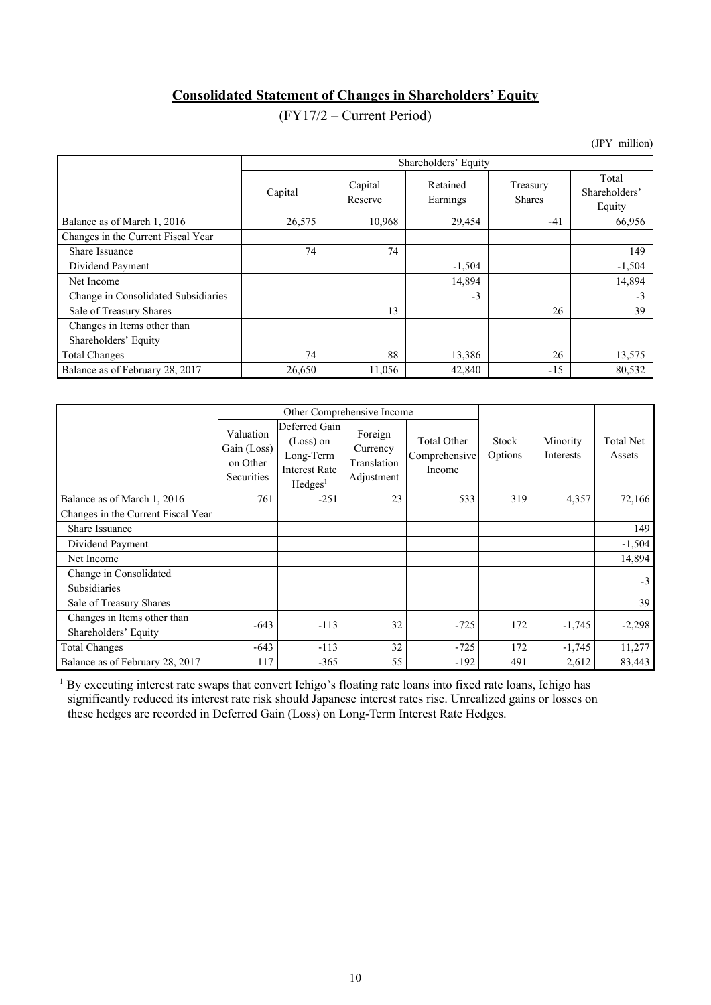# **Consolidated Statement of Changes in Shareholders' Equity**

# (FY17/2 – Current Period)

(JPY million)

|                                                     |         | Shareholders' Equity |                      |                           |                                  |  |  |  |
|-----------------------------------------------------|---------|----------------------|----------------------|---------------------------|----------------------------------|--|--|--|
|                                                     | Capital | Capital<br>Reserve   | Retained<br>Earnings | Treasury<br><b>Shares</b> | Total<br>Shareholders'<br>Equity |  |  |  |
| Balance as of March 1, 2016                         | 26,575  | 10,968               | 29,454               | $-41$                     | 66,956                           |  |  |  |
| Changes in the Current Fiscal Year                  |         |                      |                      |                           |                                  |  |  |  |
| Share Issuance                                      | 74      | 74                   |                      |                           | 149                              |  |  |  |
| Dividend Payment                                    |         |                      | $-1,504$             |                           | $-1,504$                         |  |  |  |
| Net Income                                          |         |                      | 14,894               |                           | 14,894                           |  |  |  |
| Change in Consolidated Subsidiaries                 |         |                      | $-3$                 |                           | $-3$                             |  |  |  |
| Sale of Treasury Shares                             |         | 13                   |                      | 26                        | 39                               |  |  |  |
| Changes in Items other than<br>Shareholders' Equity |         |                      |                      |                           |                                  |  |  |  |
| <b>Total Changes</b>                                | 74      | 88                   | 13,386               | 26                        | 13,575                           |  |  |  |
| Balance as of February 28, 2017                     | 26,650  | 11,056               | 42,840               | $-15$                     | 80,532                           |  |  |  |

|                                                     | Other Comprehensive Income                         |                                                                                             |                                                  |                                               |                  |                              |                            |
|-----------------------------------------------------|----------------------------------------------------|---------------------------------------------------------------------------------------------|--------------------------------------------------|-----------------------------------------------|------------------|------------------------------|----------------------------|
|                                                     | Valuation<br>Gain (Loss)<br>on Other<br>Securities | Deferred Gain<br>$(Loss)$ on<br>Long-Term<br><b>Interest Rate</b><br>$H$ edges <sup>1</sup> | Foreign<br>Currency<br>Translation<br>Adjustment | <b>Total Other</b><br>Comprehensive<br>Income | Stock<br>Options | Minority<br><b>Interests</b> | <b>Total Net</b><br>Assets |
| Balance as of March 1, 2016                         | 761                                                | $-251$                                                                                      | 23                                               | 533                                           | 319              | 4,357                        | 72,166                     |
| Changes in the Current Fiscal Year                  |                                                    |                                                                                             |                                                  |                                               |                  |                              |                            |
| Share Issuance                                      |                                                    |                                                                                             |                                                  |                                               |                  |                              | 149                        |
| Dividend Payment                                    |                                                    |                                                                                             |                                                  |                                               |                  |                              | $-1,504$                   |
| Net Income                                          |                                                    |                                                                                             |                                                  |                                               |                  |                              | 14,894                     |
| Change in Consolidated<br><b>Subsidiaries</b>       |                                                    |                                                                                             |                                                  |                                               |                  |                              | $-3$                       |
| Sale of Treasury Shares                             |                                                    |                                                                                             |                                                  |                                               |                  |                              | 39                         |
| Changes in Items other than<br>Shareholders' Equity | $-643$                                             | $-113$                                                                                      | 32                                               | $-725$                                        | 172              | $-1,745$                     | $-2,298$                   |
| <b>Total Changes</b>                                | $-643$                                             | $-113$                                                                                      | 32                                               | $-725$                                        | 172              | $-1,745$                     | 11,277                     |
| Balance as of February 28, 2017                     | 117                                                | $-365$                                                                                      | 55                                               | $-192$                                        | 491              | 2,612                        | 83,443                     |

<sup>1</sup> By executing interest rate swaps that convert Ichigo's floating rate loans into fixed rate loans, Ichigo has significantly reduced its interest rate risk should Japanese interest rates rise. Unrealized gains or losses on these hedges are recorded in Deferred Gain (Loss) on Long-Term Interest Rate Hedges.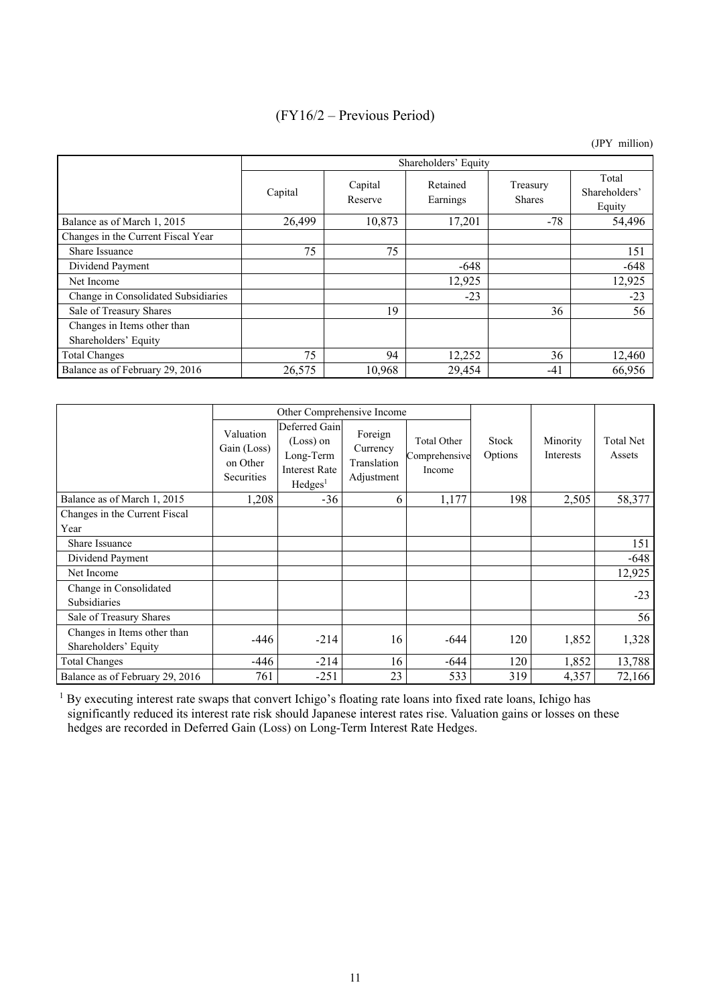# (FY16/2 – Previous Period)

(JPY million)

|                                                     |         | Shareholders' Equity |                      |                           |                                  |  |  |  |
|-----------------------------------------------------|---------|----------------------|----------------------|---------------------------|----------------------------------|--|--|--|
|                                                     | Capital | Capital<br>Reserve   | Retained<br>Earnings | Treasury<br><b>Shares</b> | Total<br>Shareholders'<br>Equity |  |  |  |
| Balance as of March 1, 2015                         | 26,499  | 10,873               | 17,201               | $-78$                     | 54,496                           |  |  |  |
| Changes in the Current Fiscal Year                  |         |                      |                      |                           |                                  |  |  |  |
| Share Issuance                                      | 75      | 75                   |                      |                           | 151                              |  |  |  |
| Dividend Payment                                    |         |                      | $-648$               |                           | $-648$                           |  |  |  |
| Net Income                                          |         |                      | 12,925               |                           | 12,925                           |  |  |  |
| Change in Consolidated Subsidiaries                 |         |                      | $-23$                |                           | $-23$                            |  |  |  |
| Sale of Treasury Shares                             |         | 19                   |                      | 36                        | 56                               |  |  |  |
| Changes in Items other than<br>Shareholders' Equity |         |                      |                      |                           |                                  |  |  |  |
| <b>Total Changes</b>                                | 75      | 94                   | 12,252               | 36                        | 12,460                           |  |  |  |
| Balance as of February 29, 2016                     | 26,575  | 10,968               | 29,454               | $-41$                     | 66,956                           |  |  |  |

|                                                     |                                                    | Other Comprehensive Income                                                                  |                                                  |                                        |                  |                              |                     |
|-----------------------------------------------------|----------------------------------------------------|---------------------------------------------------------------------------------------------|--------------------------------------------------|----------------------------------------|------------------|------------------------------|---------------------|
|                                                     | Valuation<br>Gain (Loss)<br>on Other<br>Securities | Deferred Gain<br>$(Loss)$ on<br>Long-Term<br><b>Interest Rate</b><br>$H$ edges <sup>1</sup> | Foreign<br>Currency<br>Translation<br>Adjustment | Total Other<br>Comprehensive<br>Income | Stock<br>Options | Minority<br><b>Interests</b> | Total Net<br>Assets |
| Balance as of March 1, 2015                         | 1,208                                              | $-36$                                                                                       | 6                                                | 1,177                                  | 198              | 2,505                        | 58,377              |
| Changes in the Current Fiscal                       |                                                    |                                                                                             |                                                  |                                        |                  |                              |                     |
| Year                                                |                                                    |                                                                                             |                                                  |                                        |                  |                              |                     |
| Share Issuance                                      |                                                    |                                                                                             |                                                  |                                        |                  |                              | 151                 |
| Dividend Payment                                    |                                                    |                                                                                             |                                                  |                                        |                  |                              | $-648$              |
| Net Income                                          |                                                    |                                                                                             |                                                  |                                        |                  |                              | 12,925              |
| Change in Consolidated<br>Subsidiaries              |                                                    |                                                                                             |                                                  |                                        |                  |                              | $-23$               |
| Sale of Treasury Shares                             |                                                    |                                                                                             |                                                  |                                        |                  |                              | 56                  |
| Changes in Items other than<br>Shareholders' Equity | -446                                               | $-214$                                                                                      | 16                                               | $-644$                                 | 120              | 1,852                        | 1,328               |
| <b>Total Changes</b>                                | -446                                               | $-214$                                                                                      | 16                                               | $-644$                                 | 120              | 1,852                        | 13,788              |
| Balance as of February 29, 2016                     | 761                                                | $-251$                                                                                      | 23                                               | 533                                    | 319              | 4,357                        | 72,166              |

<sup>1</sup> By executing interest rate swaps that convert Ichigo's floating rate loans into fixed rate loans, Ichigo has significantly reduced its interest rate risk should Japanese interest rates rise. Valuation gains or losses on these hedges are recorded in Deferred Gain (Loss) on Long-Term Interest Rate Hedges.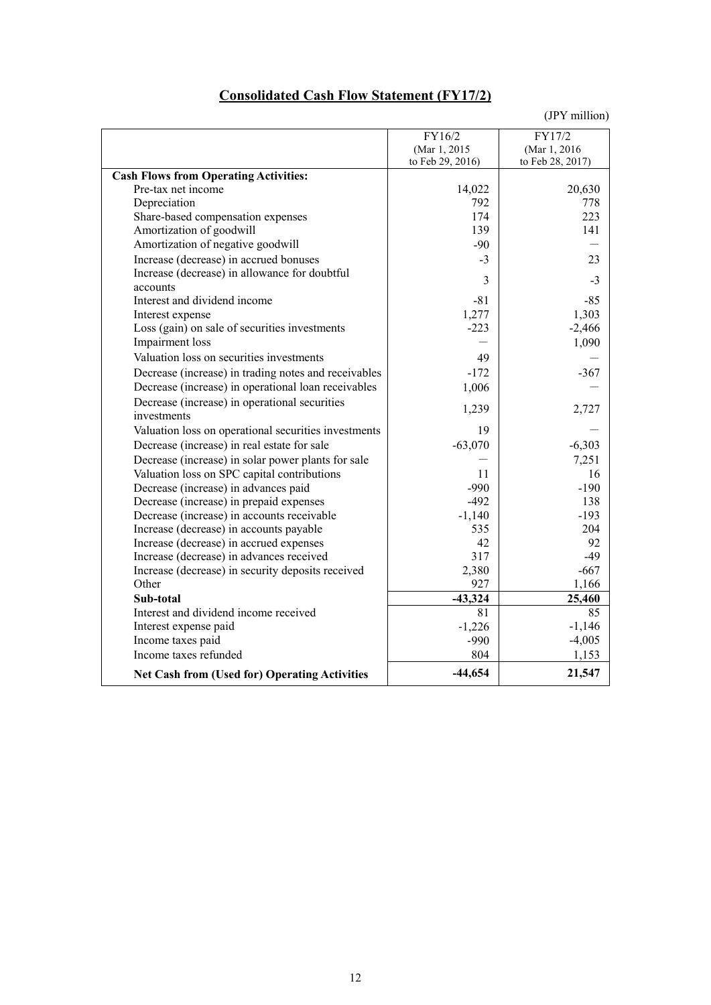# **Consolidated Cash Flow Statement (FY17/2)**

|                                                      | FY16/2<br>(Mar 1, 2015<br>to Feb 29, 2016) | FY17/2<br>(Mar 1, 2016)<br>to Feb 28, 2017) |
|------------------------------------------------------|--------------------------------------------|---------------------------------------------|
| <b>Cash Flows from Operating Activities:</b>         |                                            |                                             |
| Pre-tax net income                                   | 14,022                                     | 20,630                                      |
| Depreciation                                         | 792                                        | 778                                         |
| Share-based compensation expenses                    | 174                                        | 223                                         |
| Amortization of goodwill                             | 139                                        | 141                                         |
| Amortization of negative goodwill                    | $-90$                                      |                                             |
| Increase (decrease) in accrued bonuses               | $-3$                                       | 23                                          |
| Increase (decrease) in allowance for doubtful        | 3                                          | $-3$                                        |
| accounts                                             |                                            |                                             |
| Interest and dividend income                         | $-81$                                      | $-85$                                       |
| Interest expense                                     | 1,277                                      | 1,303                                       |
| Loss (gain) on sale of securities investments        | $-223$                                     | $-2,466$                                    |
| Impairment loss                                      |                                            | 1,090                                       |
| Valuation loss on securities investments             | 49                                         |                                             |
| Decrease (increase) in trading notes and receivables | $-172$                                     | $-367$                                      |
| Decrease (increase) in operational loan receivables  | 1,006                                      |                                             |
| Decrease (increase) in operational securities        | 1,239                                      | 2,727                                       |
| investments                                          |                                            |                                             |
| Valuation loss on operational securities investments | 19                                         |                                             |
| Decrease (increase) in real estate for sale          | $-63,070$                                  | $-6,303$                                    |
| Decrease (increase) in solar power plants for sale   |                                            | 7,251                                       |
| Valuation loss on SPC capital contributions          | 11                                         | 16                                          |
| Decrease (increase) in advances paid                 | $-990$                                     | $-190$                                      |
| Decrease (increase) in prepaid expenses              | $-492$                                     | 138                                         |
| Decrease (increase) in accounts receivable           | $-1,140$                                   | $-193$                                      |
| Increase (decrease) in accounts payable              | 535                                        | 204                                         |
| Increase (decrease) in accrued expenses              | 42                                         | 92                                          |
| Increase (decrease) in advances received             | 317                                        | $-49$                                       |
| Increase (decrease) in security deposits received    | 2,380                                      | $-667$                                      |
| Other                                                | 927                                        | 1,166                                       |
| Sub-total                                            | $-43,324$                                  | 25,460                                      |
| Interest and dividend income received                | 81                                         | 85                                          |
| Interest expense paid                                | $-1,226$                                   | $-1,146$                                    |
| Income taxes paid                                    | $-990$                                     | $-4,005$                                    |
| Income taxes refunded                                | 804                                        | 1,153                                       |
| <b>Net Cash from (Used for) Operating Activities</b> | $-44,654$                                  | 21,547                                      |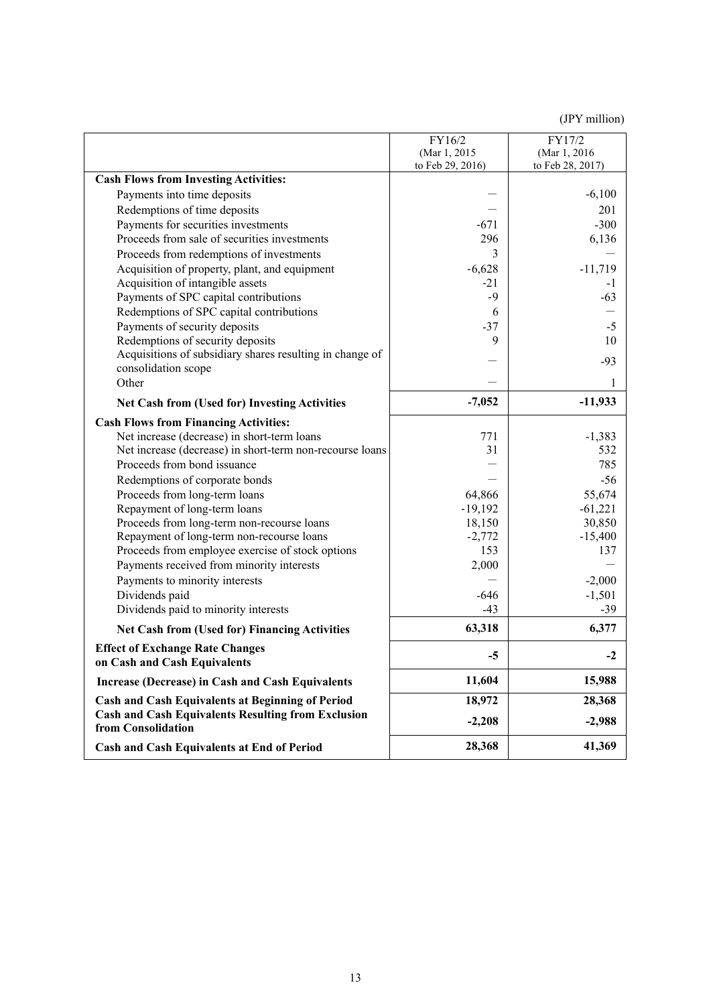|                                                                                 | FY16/2<br>(Mar 1, 2015) | FY17/2<br>(Mar 1, 2016) |
|---------------------------------------------------------------------------------|-------------------------|-------------------------|
|                                                                                 | to Feb 29, 2016)        | to Feb 28, 2017)        |
| <b>Cash Flows from Investing Activities:</b>                                    |                         |                         |
| Payments into time deposits                                                     |                         | $-6,100$                |
| Redemptions of time deposits                                                    |                         | 201                     |
| Payments for securities investments                                             | $-671$                  | $-300$                  |
| Proceeds from sale of securities investments                                    | 296                     | 6,136                   |
| Proceeds from redemptions of investments                                        | 3                       |                         |
| Acquisition of property, plant, and equipment                                   | $-6,628$                | $-11,719$               |
| Acquisition of intangible assets                                                | $-21$                   | $-1$                    |
| Payments of SPC capital contributions                                           | $-9$                    | $-63$                   |
| Redemptions of SPC capital contributions                                        | 6                       |                         |
| Payments of security deposits                                                   | $-37$                   | $-5$                    |
| Redemptions of security deposits                                                | 9                       | 10                      |
| Acquisitions of subsidiary shares resulting in change of                        |                         | $-93$                   |
| consolidation scope                                                             |                         |                         |
| Other                                                                           |                         | 1                       |
| <b>Net Cash from (Used for) Investing Activities</b>                            | $-7,052$                | $-11,933$               |
| <b>Cash Flows from Financing Activities:</b>                                    |                         |                         |
| Net increase (decrease) in short-term loans                                     | 771                     | $-1,383$                |
| Net increase (decrease) in short-term non-recourse loans                        | 31                      | 532                     |
| Proceeds from bond issuance                                                     |                         | 785                     |
| Redemptions of corporate bonds                                                  |                         | $-56$                   |
| Proceeds from long-term loans                                                   | 64,866                  | 55,674                  |
| Repayment of long-term loans                                                    | $-19,192$               | $-61,221$               |
| Proceeds from long-term non-recourse loans                                      | 18,150                  | 30,850                  |
| Repayment of long-term non-recourse loans                                       | $-2,772$                | $-15,400$               |
| Proceeds from employee exercise of stock options                                | 153                     | 137                     |
| Payments received from minority interests                                       | 2,000                   |                         |
| Payments to minority interests                                                  |                         | $-2,000$                |
| Dividends paid                                                                  | $-646$                  | $-1,501$                |
| Dividends paid to minority interests                                            | $-43$                   | $-39$                   |
| <b>Net Cash from (Used for) Financing Activities</b>                            | 63,318                  | 6,377                   |
| <b>Effect of Exchange Rate Changes</b><br>on Cash and Cash Equivalents          | $-5$                    | $-2$                    |
| Increase (Decrease) in Cash and Cash Equivalents                                | 11,604                  | 15,988                  |
| <b>Cash and Cash Equivalents at Beginning of Period</b>                         | 18,972                  | 28,368                  |
| <b>Cash and Cash Equivalents Resulting from Exclusion</b><br>from Consolidation | $-2,208$                | $-2,988$                |
| Cash and Cash Equivalents at End of Period                                      | 28,368                  | 41,369                  |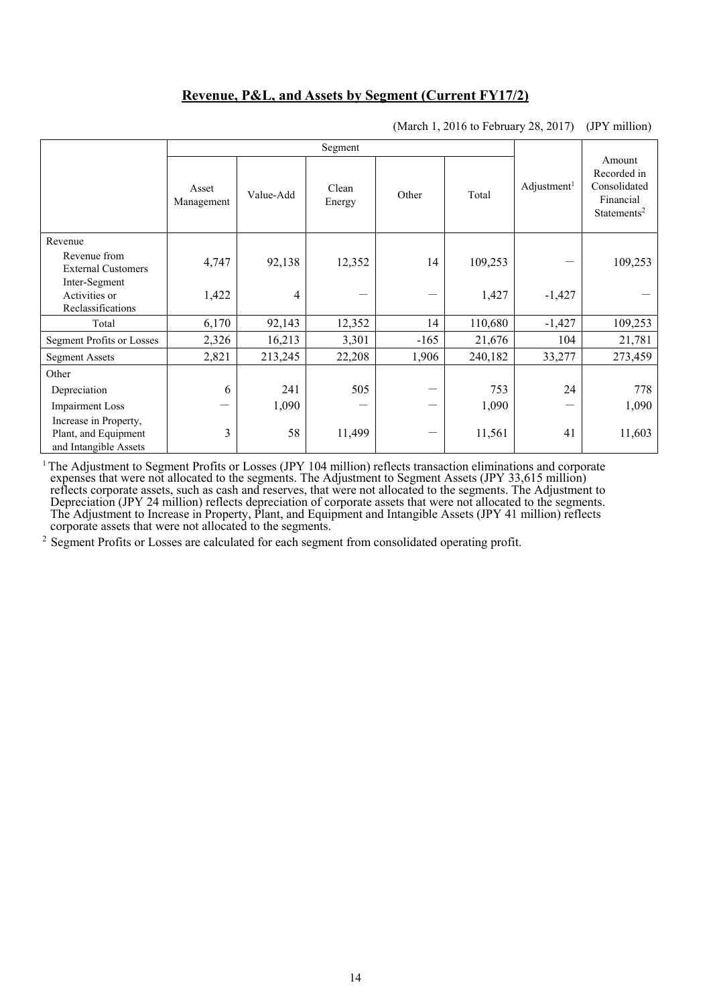## **Revenue, P&L, and Assets by Segment (Current FY17/2)**

|                                                                        | Asset<br>Management | Value-Add | Clean<br>Energy | Other  | Total   | Adjustment <sup>1</sup> | Amount<br>Recorded in<br>Consolidated<br>Financial<br>Statements <sup>2</sup> |
|------------------------------------------------------------------------|---------------------|-----------|-----------------|--------|---------|-------------------------|-------------------------------------------------------------------------------|
| Revenue                                                                |                     |           |                 |        |         |                         |                                                                               |
| Revenue from<br><b>External Customers</b>                              | 4,747               | 92,138    | 12,352          | 14     | 109,253 |                         | 109,253                                                                       |
| Inter-Segment<br>Activities or<br>Reclassifications                    | 1,422               | 4         |                 |        | 1,427   | $-1,427$                |                                                                               |
| Total                                                                  | 6,170               | 92,143    | 12,352          | 14     | 110,680 | $-1,427$                | 109,253                                                                       |
| <b>Segment Profits or Losses</b>                                       | 2,326               | 16,213    | 3,301           | $-165$ | 21,676  | 104                     | 21,781                                                                        |
| <b>Segment Assets</b>                                                  | 2,821               | 213,245   | 22,208          | 1,906  | 240,182 | 33,277                  | 273,459                                                                       |
| Other                                                                  |                     |           |                 |        |         |                         |                                                                               |
| Depreciation                                                           | 6                   | 241       | 505             |        | 753     | 24                      | 778                                                                           |
| <b>Impairment Loss</b>                                                 | —                   | 1,090     |                 |        | 1,090   | —                       | 1,090                                                                         |
| Increase in Property,<br>Plant, and Equipment<br>and Intangible Assets | 3                   | 58        | 11,499          |        | 11,561  | 41                      | 11,603                                                                        |

(March 1, 2016 to February 28, 2017) (JPY million)

<sup>1</sup> The Adjustment to Segment Profits or Losses (JPY 104 million) reflects transaction eliminations and corporate expenses that were not allocated to the segments. The Adjustment to Segment Assets (JPY 33,615 million) reflects corporate assets, such as cash and reserves, that were not allocated to the segments. The Adjustment to Depreciation (JPY 24 million) reflects depreciation of corporate assets that were not allocated to the segments. The Adjustment to Increase in Property, Plant, and Equipment and Intangible Assets (JPY 41 million) reflects corporate assets that were not allocated to the segments.

<sup>2</sup> Segment Profits or Losses are calculated for each segment from consolidated operating profit.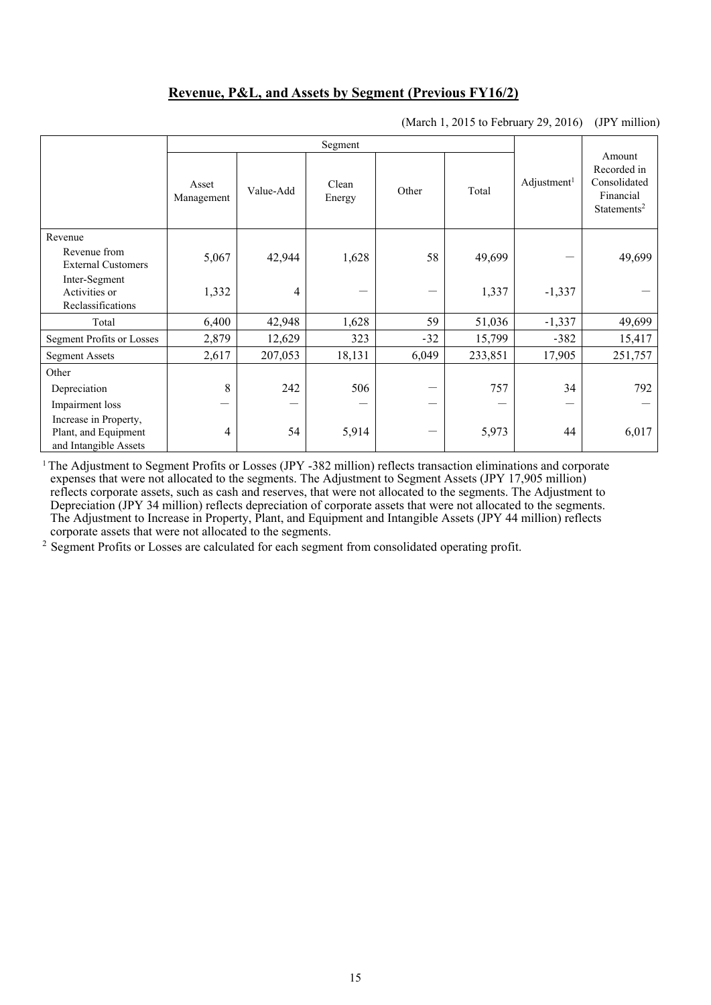## **Revenue, P&L, and Assets by Segment (Previous FY16/2)**

| (March 1, 2015 to February 29, 2016) (JPY million) |
|----------------------------------------------------|
|----------------------------------------------------|

|                                                                        | Asset<br>Management | Value-Add | Clean<br>Energy | Other | Total   | Adjustment <sup>1</sup> | Amount<br>Recorded in<br>Consolidated<br>Financial<br>Statements <sup>2</sup> |
|------------------------------------------------------------------------|---------------------|-----------|-----------------|-------|---------|-------------------------|-------------------------------------------------------------------------------|
| Revenue                                                                |                     |           |                 |       |         |                         |                                                                               |
| Revenue from<br><b>External Customers</b>                              | 5,067               | 42,944    | 1,628           | 58    | 49,699  |                         | 49,699                                                                        |
| Inter-Segment<br>Activities or<br>Reclassifications                    | 1,332               | 4         |                 |       | 1,337   | $-1,337$                |                                                                               |
| Total                                                                  | 6,400               | 42,948    | 1,628           | 59    | 51,036  | $-1,337$                | 49,699                                                                        |
| <b>Segment Profits or Losses</b>                                       | 2,879               | 12,629    | 323             | $-32$ | 15,799  | $-382$                  | 15,417                                                                        |
| <b>Segment Assets</b>                                                  | 2,617               | 207,053   | 18,131          | 6,049 | 233,851 | 17,905                  | 251,757                                                                       |
| Other                                                                  |                     |           |                 |       |         |                         |                                                                               |
| Depreciation                                                           | 8                   | 242       | 506             |       | 757     | 34                      | 792                                                                           |
| Impairment loss                                                        | —                   |           |                 |       |         |                         |                                                                               |
| Increase in Property,<br>Plant, and Equipment<br>and Intangible Assets | 4                   | 54        | 5,914           |       | 5,973   | 44                      | 6,017                                                                         |

1 The Adjustment to Segment Profits or Losses (JPY -382 million) reflects transaction eliminations and corporate expenses that were not allocated to the segments. The Adjustment to Segment Assets (JPY 17,905 million) reflects corporate assets, such as cash and reserves, that were not allocated to the segments. The Adjustment to Depreciation (JPY 34 million) reflects depreciation of corporate assets that were not allocated to the segments. The Adjustment to Increase in Property, Plant, and Equipment and Intangible Assets (JPY 44 million) reflects corporate assets that were not allocated to the segments.

<sup>2</sup> Segment Profits or Losses are calculated for each segment from consolidated operating profit.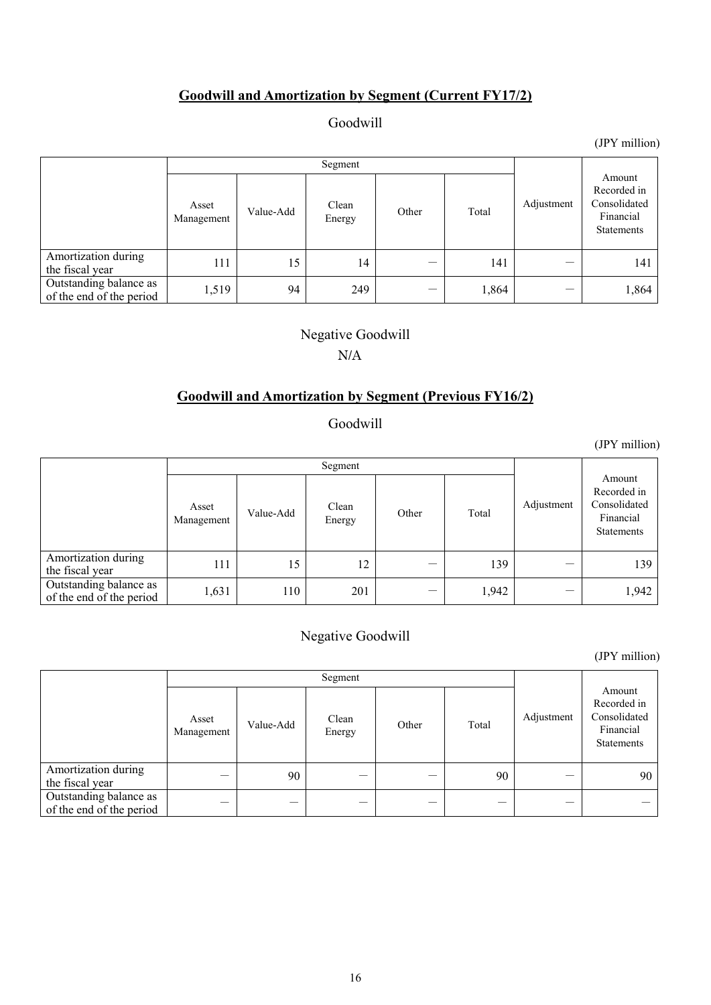# **Goodwill and Amortization by Segment (Current FY17/2)**

## Goodwill

Segment Adjustment Amount Recorded in Consolidated Financial Statements Asset Asset Value-Add Clean<br>Management Value-Add Energy Energy Other Total Amortization during the fiscal year  $111$  15 14 - 141 - 141 Outstanding balance as Outstanding balance as  $\begin{array}{|c|c|c|c|c|c|} \hline 1,519 & 94 & 249 & - & 1,864 & - & 1,864 \ \hline \end{array}$ 

## Negative Goodwill

### N/A

### **Goodwill and Amortization by Segment (Previous FY16/2)**

## Goodwill

Segment Adjustment Amount Recorded in Consolidated Financial Statements Asset Asset Value-Add Clean<br>Management Value-Add Energy Energy Other Total Amortization during the fiscal year  $111$  15 12 - 139 - 139 Outstanding balance as Outstanding balance as  $1,631$  110 201 - 1,942 - 1,942 1,942

# Negative Goodwill

(JPY million)

|                                                    | Asset<br>Management | Value-Add | Clean<br>Energy | Other | Total | Adjustment | Amount<br>Recorded in<br>Consolidated<br>Financial<br><b>Statements</b> |
|----------------------------------------------------|---------------------|-----------|-----------------|-------|-------|------------|-------------------------------------------------------------------------|
| Amortization during<br>the fiscal year             |                     | 90        |                 |       | 90    |            | 90                                                                      |
| Outstanding balance as<br>of the end of the period | __                  | __        |                 |       |       |            |                                                                         |

(JPY million)